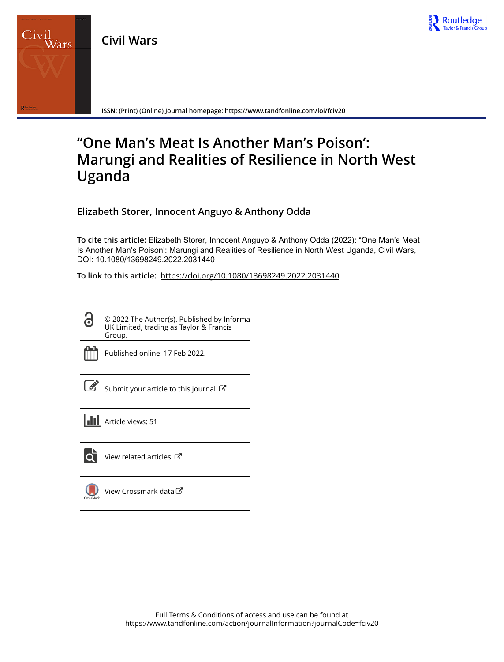



**ISSN: (Print) (Online) Journal homepage:<https://www.tandfonline.com/loi/fciv20>**

# **"One Man's Meat Is Another Man's Poison': Marungi and Realities of Resilience in North West Uganda**

**Elizabeth Storer, Innocent Anguyo & Anthony Odda**

**To cite this article:** Elizabeth Storer, Innocent Anguyo & Anthony Odda (2022): "One Man's Meat Is Another Man's Poison': Marungi and Realities of Resilience in North West Uganda, Civil Wars, DOI: [10.1080/13698249.2022.2031440](https://www.tandfonline.com/action/showCitFormats?doi=10.1080/13698249.2022.2031440)

**To link to this article:** <https://doi.org/10.1080/13698249.2022.2031440>

© 2022 The Author(s). Published by Informa UK Limited, trading as Taylor & Francis Group.



 $\bullet$ 

Published online: 17 Feb 2022.

Submit your article to this journal

**III** Article views: 51



 $\bullet$  [View related articles](https://www.tandfonline.com/doi/mlt/10.1080/13698249.2022.2031440)  $\sigma$ 

[View Crossmark data](http://crossmark.crossref.org/dialog/?doi=10.1080/13698249.2022.2031440&domain=pdf&date_stamp=2022-02-17)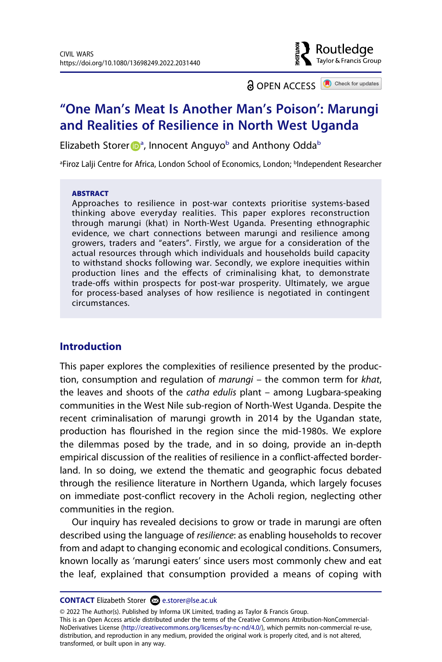

**a** OPEN ACCESS **a** Check for updates

# **"One Man's Meat Is Another Man's Poison': Marungi and Realities of Resilience in North West Uganda**

Eliz[a](#page-1-0)[b](#page-1-0)eth Storer <sub>D</sub><sup>a</sup>, Innocent Anguyo<sup>b</sup> and Anthony Odda<sup>b</sup>

<span id="page-1-0"></span><sup>a</sup>Firoz Lalji Centre for Africa, London School of Economics, London; <sup>b</sup>Independent Researcher

#### **ABSTRACT**

Approaches to resilience in post-war contexts prioritise systems-based thinking above everyday realities. This paper explores reconstruction through marungi (khat) in North-West Uganda. Presenting ethnographic evidence, we chart connections between marungi and resilience among growers, traders and "eaters". Firstly, we argue for a consideration of the actual resources through which individuals and households build capacity to withstand shocks following war. Secondly, we explore inequities within production lines and the effects of criminalising khat, to demonstrate trade-offs within prospects for post-war prosperity. Ultimately, we argue for process-based analyses of how resilience is negotiated in contingent circumstances.

# **Introduction**

This paper explores the complexities of resilience presented by the production, consumption and regulation of *marungi* – the common term for *khat*, the leaves and shoots of the *catha edulis* plant – among Lugbara-speaking communities in the West Nile sub-region of North-West Uganda. Despite the recent criminalisation of marungi growth in 2014 by the Ugandan state, production has flourished in the region since the mid-1980s. We explore the dilemmas posed by the trade, and in so doing, provide an in-depth empirical discussion of the realities of resilience in a conflict-affected borderland. In so doing, we extend the thematic and geographic focus debated through the resilience literature in Northern Uganda, which largely focuses on immediate post-conflict recovery in the Acholi region, neglecting other communities in the region.

Our inquiry has revealed decisions to grow or trade in marungi are often described using the language of *resilience*: as enabling households to recover from and adapt to changing economic and ecological conditions. Consumers, known locally as 'marungi eaters' since users most commonly chew and eat the leaf, explained that consumption provided a means of coping with

**CONTACT** Elizabeth Storer **■** e.storer@lse.ac.uk

© 2022 The Author(s). Published by Informa UK Limited, trading as Taylor & Francis Group. This is an Open Access article distributed under the terms of the Creative Commons Attribution-NonCommercial-NoDerivatives License (http://creativecommons.org/licenses/by-nc-nd/4.0/), which permits non-commercial re-use, distribution, and reproduction in any medium, provided the original work is properly cited, and is not altered, transformed, or built upon in any way.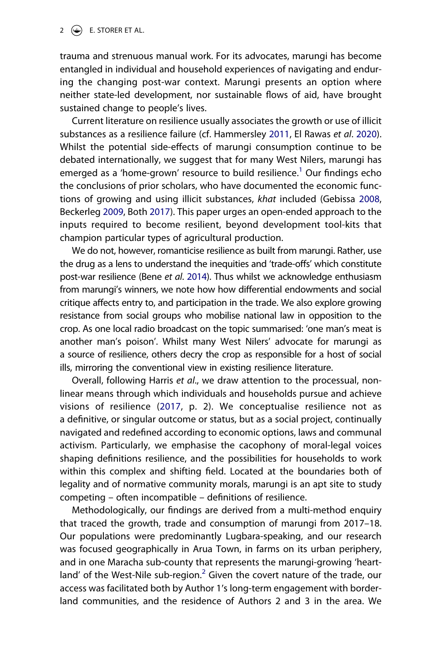#### $2 \quad \textcircled{\LARGE{\LARGE{\text{}}}\quad}$  E. STORER ET AL.

trauma and strenuous manual work. For its advocates, marungi has become entangled in individual and household experiences of navigating and enduring the changing post-war context. Marungi presents an option where neither state-led development, nor sustainable flows of aid, have brought sustained change to people's lives.

<span id="page-2-2"></span>Current literature on resilience usually associates the growth or use of illicit substances as a resilience failure (cf. Hammersley [2011,](#page-24-0) El Rawas *et al*. [2020](#page-23-0)). Whilst the potential side-effects of marungi consumption continue to be debated internationally, we suggest that for many West Nilers, marungi has emerged as a 'home-grown' resource to build resilience.<sup>1</sup> Our findings echo the conclusions of prior scholars, who have documented the economic functions of growing and using illicit substances, *khat* included (Gebissa [2008](#page-24-1), Beckerleg [2009,](#page-22-0) Both [2017](#page-23-1)). This paper urges an open-ended approach to the inputs required to become resilient, beyond development tool-kits that champion particular types of agricultural production.

<span id="page-2-3"></span><span id="page-2-1"></span><span id="page-2-0"></span>We do not, however, romanticise resilience as built from marungi. Rather, use the drug as a lens to understand the inequities and 'trade-offs' which constitute post-war resilience (Bene *et al*. [2014](#page-23-2)). Thus whilst we acknowledge enthusiasm from marungi's winners, we note how how differential endowments and social critique affects entry to, and participation in the trade. We also explore growing resistance from social groups who mobilise national law in opposition to the crop. As one local radio broadcast on the topic summarised: 'one man's meat is another man's poison'. Whilst many West Nilers' advocate for marungi as a source of resilience, others decry the crop as responsible for a host of social ills, mirroring the conventional view in existing resilience literature.

<span id="page-2-4"></span>Overall, following Harris *et al*., we draw attention to the processual, nonlinear means through which individuals and households pursue and achieve visions of resilience ([2017](#page-24-2), p. 2). We conceptualise resilience not as a definitive, or singular outcome or status, but as a social project, continually navigated and redefined according to economic options, laws and communal activism. Particularly, we emphasise the cacophony of moral-legal voices shaping definitions resilience, and the possibilities for households to work within this complex and shifting field. Located at the boundaries both of legality and of normative community morals, marungi is an apt site to study competing – often incompatible – definitions of resilience.

Methodologically, our findings are derived from a multi-method enquiry that traced the growth, trade and consumption of marungi from 2017–18. Our populations were predominantly Lugbara-speaking, and our research was focused geographically in Arua Town, in farms on its urban periphery, and in one Maracha sub-county that represents the marungi-growing 'heart-land' of the West-Nile sub-region.<sup>[2](#page-21-1)</sup> Given the covert nature of the trade, our access was facilitated both by Author 1ʹs long-term engagement with borderland communities, and the residence of Authors 2 and 3 in the area. We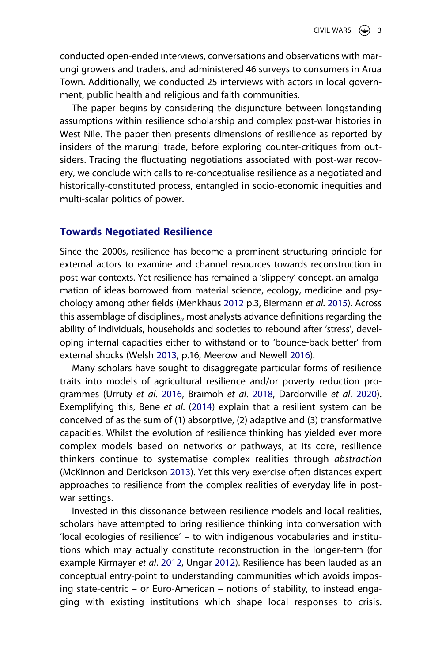conducted open-ended interviews, conversations and observations with marungi growers and traders, and administered 46 surveys to consumers in Arua Town. Additionally, we conducted 25 interviews with actors in local government, public health and religious and faith communities.

The paper begins by considering the disjuncture between longstanding assumptions within resilience scholarship and complex post-war histories in West Nile. The paper then presents dimensions of resilience as reported by insiders of the marungi trade, before exploring counter-critiques from outsiders. Tracing the fluctuating negotiations associated with post-war recovery, we conclude with calls to re-conceptualise resilience as a negotiated and historically-constituted process, entangled in socio-economic inequities and multi-scalar politics of power.

#### **Towards Negotiated Resilience**

<span id="page-3-0"></span>Since the 2000s, resilience has become a prominent structuring principle for external actors to examine and channel resources towards reconstruction in post-war contexts. Yet resilience has remained a 'slippery' concept, an amalgamation of ideas borrowed from material science, ecology, medicine and psychology among other fields (Menkhaus [2012](#page-25-0) p.3, Biermann *et al*. [2015](#page-23-3)). Across this assemblage of disciplines,, most analysts advance definitions regarding the ability of individuals, households and societies to rebound after 'stress', developing internal capacities either to withstand or to 'bounce-back better' from external shocks (Welsh [2013,](#page-26-0) p.16, Meerow and Newell [2016](#page-24-3)).

<span id="page-3-4"></span><span id="page-3-1"></span>Many scholars have sought to disaggregate particular forms of resilience traits into models of agricultural resilience and/or poverty reduction programmes (Urruty *et al*. [2016](#page-25-1), Braimoh *et al*. [2018](#page-23-4), Dardonville *et al*. [2020](#page-23-5)). Exemplifying this, Bene *et al*. ([2014](#page-23-2)) explain that a resilient system can be conceived of as the sum of (1) absorptive, (2) adaptive and (3) transformative capacities. Whilst the evolution of resilience thinking has yielded ever more complex models based on networks or pathways, at its core, resilience thinkers continue to systematise complex realities through *abstraction*  (McKinnon and Derickson [2013\)](#page-24-4). Yet this very exercise often distances expert approaches to resilience from the complex realities of everyday life in postwar settings.

<span id="page-3-3"></span><span id="page-3-2"></span>Invested in this dissonance between resilience models and local realities, scholars have attempted to bring resilience thinking into conversation with 'local ecologies of resilience' – to with indigenous vocabularies and institutions which may actually constitute reconstruction in the longer-term (for example Kirmayer *et al*. [2012,](#page-24-5) Ungar [2012\)](#page-25-2). Resilience has been lauded as an conceptual entry-point to understanding communities which avoids imposing state-centric – or Euro-American – notions of stability, to instead engaging with existing institutions which shape local responses to crisis.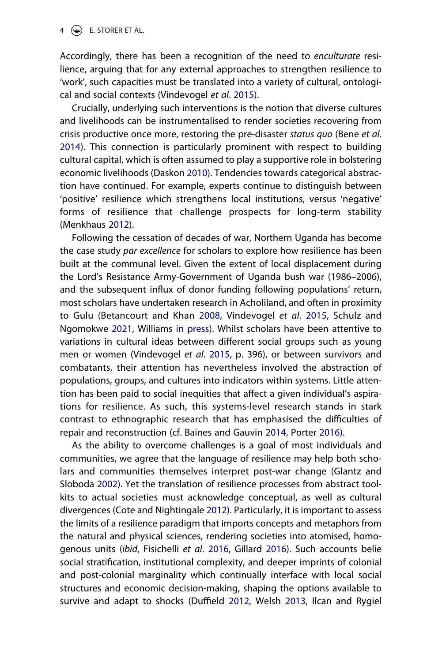Accordingly, there has been a recognition of the need to *enculturate* resilience, arguing that for any external approaches to strengthen resilience to 'work', such capacities must be translated into a variety of cultural, ontological and social contexts (Vindevogel *et al*. [2015](#page-26-1)).

<span id="page-4-3"></span>Crucially, underlying such interventions is the notion that diverse cultures and livelihoods can be instrumentalised to render societies recovering from crisis productive once more, restoring the pre-disaster *status quo* (Bene *et al*. [2014\)](#page-23-2). This connection is particularly prominent with respect to building cultural capital, which is often assumed to play a supportive role in bolstering economic livelihoods (Daskon [2010\)](#page-23-6). Tendencies towards categorical abstraction have continued. For example, experts continue to distinguish between 'positive' resilience which strengthens local institutions, versus 'negative' forms of resilience that challenge prospects for long-term stability (Menkhaus [2012](#page-25-0)).

<span id="page-4-7"></span><span id="page-4-1"></span>Following the cessation of decades of war, Northern Uganda has become the case study *par excellence* for scholars to explore how resilience has been built at the communal level. Given the extent of local displacement during the Lord's Resistance Army-Government of Uganda bush war (1986–2006), and the subsequent influx of donor funding following populations' return, most scholars have undertaken research in Acholiland, and often in proximity to Gulu (Betancourt and Khan [2008](#page-23-7), Vindevogel *et al*. [2015](#page-26-1), Schulz and Ngomokwe [2021](#page-25-3), Williams [in press](#page-26-2)). Whilst scholars have been attentive to variations in cultural ideas between different social groups such as young men or women (Vindevogel *et al*. [2015](#page-26-1), p. 396), or between survivors and combatants, their attention has nevertheless involved the abstraction of populations, groups, and cultures into indicators within systems. Little attention has been paid to social inequities that affect a given individual's aspirations for resilience. As such, this systems-level research stands in stark contrast to ethnographic research that has emphasised the difficulties of repair and reconstruction (cf. Baines and Gauvin [2014](#page-22-1), Porter [2016](#page-25-4)).

<span id="page-4-8"></span><span id="page-4-6"></span><span id="page-4-5"></span><span id="page-4-4"></span><span id="page-4-2"></span><span id="page-4-0"></span>As the ability to overcome challenges is a goal of most individuals and communities, we agree that the language of resilience may help both scholars and communities themselves interpret post-war change (Glantz and Sloboda [2002\)](#page-24-6). Yet the translation of resilience processes from abstract toolkits to actual societies must acknowledge conceptual, as well as cultural divergences (Cote and Nightingale [2012](#page-23-8)). Particularly, it is important to assess the limits of a resilience paradigm that imports concepts and metaphors from the natural and physical sciences, rendering societies into atomised, homogenous units (*ibid*, Fisichelli *et al*. [2016](#page-24-7), Gillard [2016\)](#page-24-8). Such accounts belie social stratification, institutional complexity, and deeper imprints of colonial and post-colonial marginality which continually interface with local social structures and economic decision-making, shaping the options available to survive and adapt to shocks (Duffield [2012,](#page-23-9) Welsh [2013](#page-26-0), Ilcan and Rygiel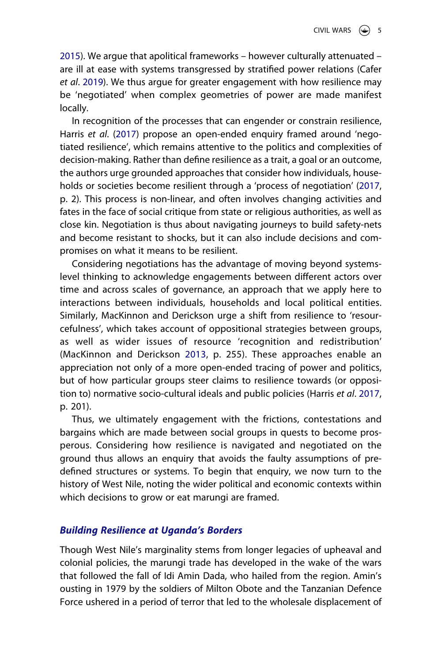<span id="page-5-0"></span>[2015\)](#page-24-9). We argue that apolitical frameworks – however culturally attenuated – are ill at ease with systems transgressed by stratified power relations (Cafer *et al*. [2019](#page-23-10)). We thus argue for greater engagement with how resilience may be 'negotiated' when complex geometries of power are made manifest locally.

In recognition of the processes that can engender or constrain resilience, Harris *et al*. ([2017](#page-24-2)) propose an open-ended enquiry framed around 'negotiated resilience', which remains attentive to the politics and complexities of decision-making. Rather than define resilience as a trait, a goal or an outcome, the authors urge grounded approaches that consider how individuals, households or societies become resilient through a 'process of negotiation' ([2017](#page-24-2), p. 2). This process is non-linear, and often involves changing activities and fates in the face of social critique from state or religious authorities, as well as close kin. Negotiation is thus about navigating journeys to build safety-nets and become resistant to shocks, but it can also include decisions and compromises on what it means to be resilient.

Considering negotiations has the advantage of moving beyond systemslevel thinking to acknowledge engagements between different actors over time and across scales of governance, an approach that we apply here to interactions between individuals, households and local political entities. Similarly, MacKinnon and Derickson urge a shift from resilience to 'resourcefulness', which takes account of oppositional strategies between groups, as well as wider issues of resource 'recognition and redistribution' (MacKinnon and Derickson [2013](#page-24-4), p. 255). These approaches enable an appreciation not only of a more open-ended tracing of power and politics, but of how particular groups steer claims to resilience towards (or opposition to) normative socio-cultural ideals and public policies (Harris *et al*. [2017](#page-24-2), p. 201).

Thus, we ultimately engagement with the frictions, contestations and bargains which are made between social groups in quests to become prosperous. Considering how resilience is navigated and negotiated on the ground thus allows an enquiry that avoids the faulty assumptions of predefined structures or systems. To begin that enquiry, we now turn to the history of West Nile, noting the wider political and economic contexts within which decisions to grow or eat marungi are framed.

#### *Building Resilience at Uganda's Borders*

Though West Nile's marginality stems from longer legacies of upheaval and colonial policies, the marungi trade has developed in the wake of the wars that followed the fall of Idi Amin Dada, who hailed from the region. Amin's ousting in 1979 by the soldiers of Milton Obote and the Tanzanian Defence Force ushered in a period of terror that led to the wholesale displacement of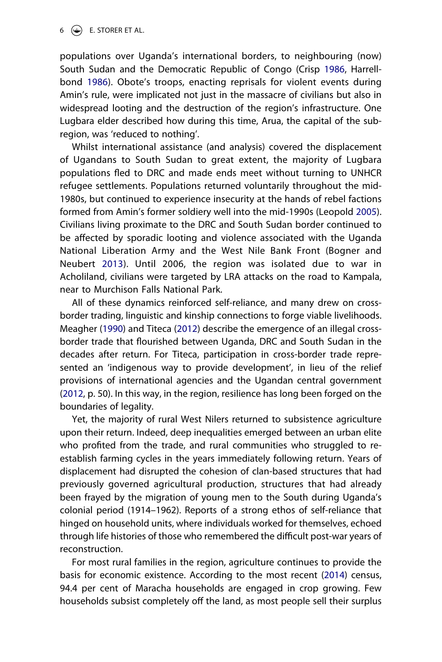<span id="page-6-2"></span><span id="page-6-1"></span>populations over Uganda's international borders, to neighbouring (now) South Sudan and the Democratic Republic of Congo (Crisp [1986](#page-23-11), Harrellbond [1986](#page-24-10)). Obote's troops, enacting reprisals for violent events during Amin's rule, were implicated not just in the massacre of civilians but also in widespread looting and the destruction of the region's infrastructure. One Lugbara elder described how during this time, Arua, the capital of the subregion, was 'reduced to nothing'.

<span id="page-6-3"></span>Whilst international assistance (and analysis) covered the displacement of Ugandans to South Sudan to great extent, the majority of Lugbara populations fled to DRC and made ends meet without turning to UNHCR refugee settlements. Populations returned voluntarily throughout the mid-1980s, but continued to experience insecurity at the hands of rebel factions formed from Amin's former soldiery well into the mid-1990s (Leopold [2005](#page-24-11)). Civilians living proximate to the DRC and South Sudan border continued to be affected by sporadic looting and violence associated with the Uganda National Liberation Army and the West Nile Bank Front (Bogner and Neubert [2013](#page-23-12)). Until 2006, the region was isolated due to war in Acholiland, civilians were targeted by LRA attacks on the road to Kampala, near to Murchison Falls National Park.

<span id="page-6-4"></span><span id="page-6-0"></span>All of these dynamics reinforced self-reliance, and many drew on crossborder trading, linguistic and kinship connections to forge viable livelihoods. Meagher ([1990](#page-24-12)) and Titeca [\(2012\)](#page-25-5) describe the emergence of an illegal crossborder trade that flourished between Uganda, DRC and South Sudan in the decades after return. For Titeca, participation in cross-border trade represented an 'indigenous way to provide development', in lieu of the relief provisions of international agencies and the Ugandan central government ([2012](#page-25-5), p. 50). In this way, in the region, resilience has long been forged on the boundaries of legality.

<span id="page-6-5"></span>Yet, the majority of rural West Nilers returned to subsistence agriculture upon their return. Indeed, deep inequalities emerged between an urban elite who profited from the trade, and rural communities who struggled to reestablish farming cycles in the years immediately following return. Years of displacement had disrupted the cohesion of clan-based structures that had previously governed agricultural production, structures that had already been frayed by the migration of young men to the South during Uganda's colonial period (1914–1962). Reports of a strong ethos of self-reliance that hinged on household units, where individuals worked for themselves, echoed through life histories of those who remembered the difficult post-war years of reconstruction.

<span id="page-6-6"></span>For most rural families in the region, agriculture continues to provide the basis for economic existence. According to the most recent ([2014](#page-25-6)) census, 94.4 per cent of Maracha households are engaged in crop growing. Few households subsist completely off the land, as most people sell their surplus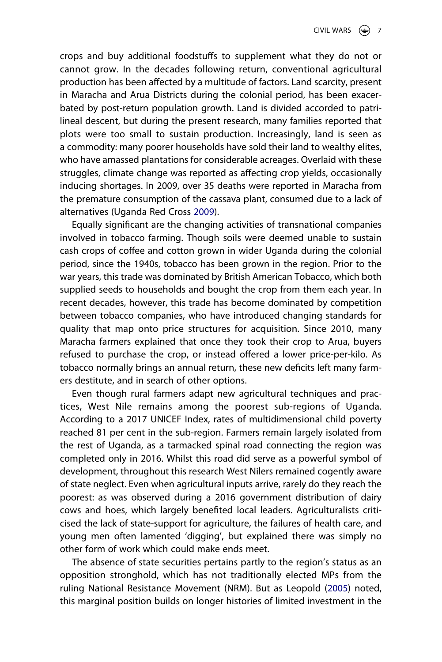crops and buy additional foodstuffs to supplement what they do not or cannot grow. In the decades following return, conventional agricultural production has been affected by a multitude of factors. Land scarcity, present in Maracha and Arua Districts during the colonial period, has been exacerbated by post-return population growth. Land is divided accorded to patrilineal descent, but during the present research, many families reported that plots were too small to sustain production. Increasingly, land is seen as a commodity: many poorer households have sold their land to wealthy elites, who have amassed plantations for considerable acreages. Overlaid with these struggles, climate change was reported as affecting crop yields, occasionally inducing shortages. In 2009, over 35 deaths were reported in Maracha from the premature consumption of the cassava plant, consumed due to a lack of alternatives (Uganda Red Cross [2009\)](#page-25-7).

<span id="page-7-0"></span>Equally significant are the changing activities of transnational companies involved in tobacco farming. Though soils were deemed unable to sustain cash crops of coffee and cotton grown in wider Uganda during the colonial period, since the 1940s, tobacco has been grown in the region. Prior to the war years, this trade was dominated by British American Tobacco, which both supplied seeds to households and bought the crop from them each year. In recent decades, however, this trade has become dominated by competition between tobacco companies, who have introduced changing standards for quality that map onto price structures for acquisition. Since 2010, many Maracha farmers explained that once they took their crop to Arua, buyers refused to purchase the crop, or instead offered a lower price-per-kilo. As tobacco normally brings an annual return, these new deficits left many farmers destitute, and in search of other options.

Even though rural farmers adapt new agricultural techniques and practices, West Nile remains among the poorest sub-regions of Uganda. According to a 2017 UNICEF Index, rates of multidimensional child poverty reached 81 per cent in the sub-region. Farmers remain largely isolated from the rest of Uganda, as a tarmacked spinal road connecting the region was completed only in 2016. Whilst this road did serve as a powerful symbol of development, throughout this research West Nilers remained cogently aware of state neglect. Even when agricultural inputs arrive, rarely do they reach the poorest: as was observed during a 2016 government distribution of dairy cows and hoes, which largely benefited local leaders. Agriculturalists criticised the lack of state-support for agriculture, the failures of health care, and young men often lamented 'digging', but explained there was simply no other form of work which could make ends meet.

The absence of state securities pertains partly to the region's status as an opposition stronghold, which has not traditionally elected MPs from the ruling National Resistance Movement (NRM). But as Leopold ([2005](#page-24-11)) noted, this marginal position builds on longer histories of limited investment in the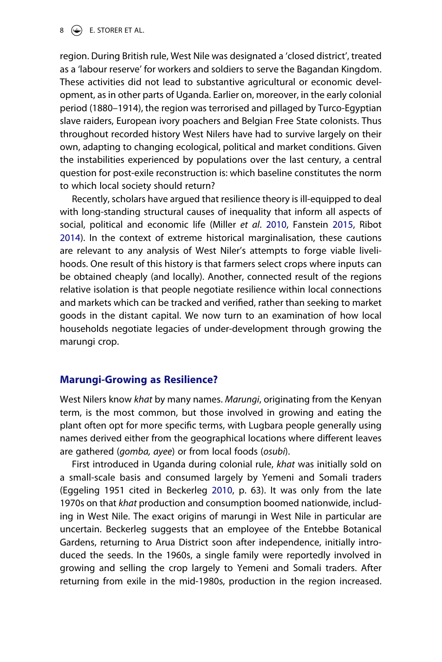$8 \quad \circled{\bigoplus}$  E. STORER ET AL.

region. During British rule, West Nile was designated a 'closed district', treated as a 'labour reserve' for workers and soldiers to serve the Bagandan Kingdom. These activities did not lead to substantive agricultural or economic development, as in other parts of Uganda. Earlier on, moreover, in the early colonial period (1880–1914), the region was terrorised and pillaged by Turco-Egyptian slave raiders, European ivory poachers and Belgian Free State colonists. Thus throughout recorded history West Nilers have had to survive largely on their own, adapting to changing ecological, political and market conditions. Given the instabilities experienced by populations over the last century, a central question for post-exile reconstruction is: which baseline constitutes the norm to which local society should return?

<span id="page-8-1"></span>Recently, scholars have argued that resilience theory is ill-equipped to deal with long-standing structural causes of inequality that inform all aspects of social, political and economic life (Miller *et al*. [2010,](#page-25-8) Fanstein [2015,](#page-23-13) Ribot [2014\)](#page-25-9). In the context of extreme historical marginalisation, these cautions are relevant to any analysis of West Niler's attempts to forge viable livelihoods. One result of this history is that farmers select crops where inputs can be obtained cheaply (and locally). Another, connected result of the regions relative isolation is that people negotiate resilience within local connections and markets which can be tracked and verified, rather than seeking to market goods in the distant capital. We now turn to an examination of how local households negotiate legacies of under-development through growing the marungi crop.

#### **Marungi-Growing as Resilience?**

West Nilers know *khat* by many names. *Marungi*, originating from the Kenyan term, is the most common, but those involved in growing and eating the plant often opt for more specific terms, with Lugbara people generally using names derived either from the geographical locations where different leaves are gathered (*gomba, ayee*) or from local foods (*osubi*).

<span id="page-8-0"></span>First introduced in Uganda during colonial rule, *khat* was initially sold on a small-scale basis and consumed largely by Yemeni and Somali traders (Eggeling 1951 cited in Beckerleg [2010,](#page-23-14) p. 63). It was only from the late 1970s on that *khat* production and consumption boomed nationwide, including in West Nile. The exact origins of marungi in West Nile in particular are uncertain. Beckerleg suggests that an employee of the Entebbe Botanical Gardens, returning to Arua District soon after independence, initially introduced the seeds. In the 1960s, a single family were reportedly involved in growing and selling the crop largely to Yemeni and Somali traders. After returning from exile in the mid-1980s, production in the region increased.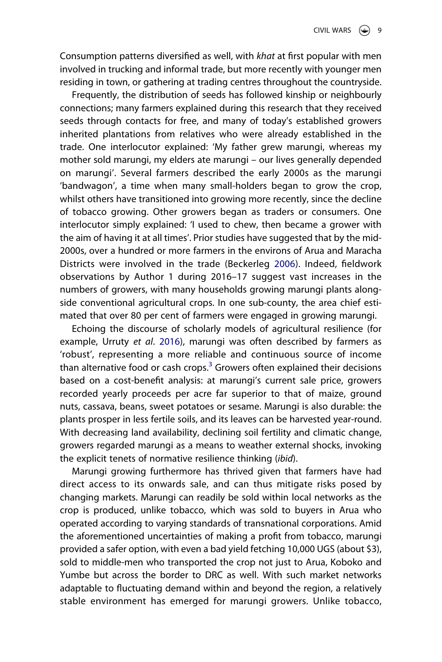Consumption patterns diversified as well, with *khat* at first popular with men involved in trucking and informal trade, but more recently with younger men residing in town, or gathering at trading centres throughout the countryside.

Frequently, the distribution of seeds has followed kinship or neighbourly connections; many farmers explained during this research that they received seeds through contacts for free, and many of today's established growers inherited plantations from relatives who were already established in the trade. One interlocutor explained: 'My father grew marungi, whereas my mother sold marungi, my elders ate marungi – our lives generally depended on marungi'. Several farmers described the early 2000s as the marungi 'bandwagon', a time when many small-holders began to grow the crop, whilst others have transitioned into growing more recently, since the decline of tobacco growing. Other growers began as traders or consumers. One interlocutor simply explained: 'I used to chew, then became a grower with the aim of having it at all times'. Prior studies have suggested that by the mid-2000s, over a hundred or more farmers in the environs of Arua and Maracha Districts were involved in the trade (Beckerleg [2006\)](#page-22-2). Indeed, fieldwork observations by Author 1 during 2016–17 suggest vast increases in the numbers of growers, with many households growing marungi plants alongside conventional agricultural crops. In one sub-county, the area chief estimated that over 80 per cent of farmers were engaged in growing marungi.

<span id="page-9-0"></span>Echoing the discourse of scholarly models of agricultural resilience (for example, Urruty *et al*. [2016](#page-25-1)), marungi was often described by farmers as 'robust', representing a more reliable and continuous source of income than alternative food or cash crops. $3$  Growers often explained their decisions based on a cost-benefit analysis: at marungi's current sale price, growers recorded yearly proceeds per acre far superior to that of maize, ground nuts, cassava, beans, sweet potatoes or sesame. Marungi is also durable: the plants prosper in less fertile soils, and its leaves can be harvested year-round. With decreasing land availability, declining soil fertility and climatic change, growers regarded marungi as a means to weather external shocks, invoking the explicit tenets of normative resilience thinking (*ibid*).

Marungi growing furthermore has thrived given that farmers have had direct access to its onwards sale, and can thus mitigate risks posed by changing markets. Marungi can readily be sold within local networks as the crop is produced, unlike tobacco, which was sold to buyers in Arua who operated according to varying standards of transnational corporations. Amid the aforementioned uncertainties of making a profit from tobacco, marungi provided a safer option, with even a bad yield fetching 10,000 UGS (about \$3), sold to middle-men who transported the crop not just to Arua, Koboko and Yumbe but across the border to DRC as well. With such market networks adaptable to fluctuating demand within and beyond the region, a relatively stable environment has emerged for marungi growers. Unlike tobacco,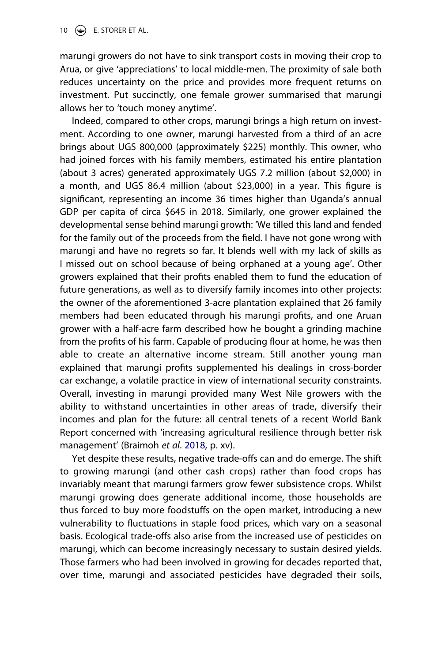marungi growers do not have to sink transport costs in moving their crop to Arua, or give 'appreciations' to local middle-men. The proximity of sale both reduces uncertainty on the price and provides more frequent returns on investment. Put succinctly, one female grower summarised that marungi allows her to 'touch money anytime'.

Indeed, compared to other crops, marungi brings a high return on investment. According to one owner, marungi harvested from a third of an acre brings about UGS 800,000 (approximately \$225) monthly. This owner, who had joined forces with his family members, estimated his entire plantation (about 3 acres) generated approximately UGS 7.2 million (about \$2,000) in a month, and UGS 86.4 million (about \$23,000) in a year. This figure is significant, representing an income 36 times higher than Uganda's annual GDP per capita of circa \$645 in 2018. Similarly, one grower explained the developmental sense behind marungi growth: 'We tilled this land and fended for the family out of the proceeds from the field. I have not gone wrong with marungi and have no regrets so far. It blends well with my lack of skills as I missed out on school because of being orphaned at a young age'. Other growers explained that their profits enabled them to fund the education of future generations, as well as to diversify family incomes into other projects: the owner of the aforementioned 3-acre plantation explained that 26 family members had been educated through his marungi profits, and one Aruan grower with a half-acre farm described how he bought a grinding machine from the profits of his farm. Capable of producing flour at home, he was then able to create an alternative income stream. Still another young man explained that marungi profits supplemented his dealings in cross-border car exchange, a volatile practice in view of international security constraints. Overall, investing in marungi provided many West Nile growers with the ability to withstand uncertainties in other areas of trade, diversify their incomes and plan for the future: all central tenets of a recent World Bank Report concerned with 'increasing agricultural resilience through better risk management' (Braimoh *et al*. [2018](#page-23-4), p. xv).

Yet despite these results, negative trade-offs can and do emerge. The shift to growing marungi (and other cash crops) rather than food crops has invariably meant that marungi farmers grow fewer subsistence crops. Whilst marungi growing does generate additional income, those households are thus forced to buy more foodstuffs on the open market, introducing a new vulnerability to fluctuations in staple food prices, which vary on a seasonal basis. Ecological trade-offs also arise from the increased use of pesticides on marungi, which can become increasingly necessary to sustain desired yields. Those farmers who had been involved in growing for decades reported that, over time, marungi and associated pesticides have degraded their soils,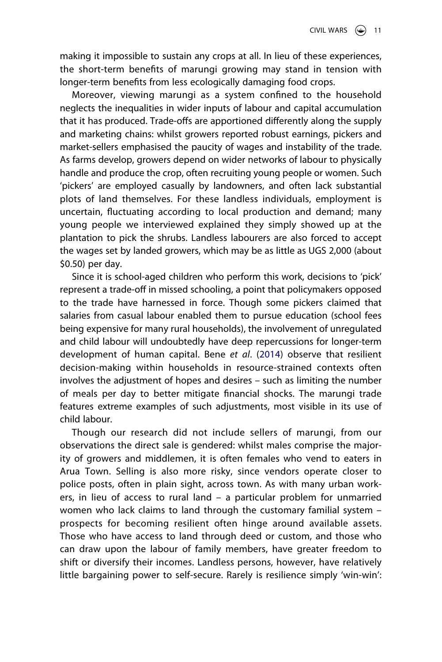making it impossible to sustain any crops at all. In lieu of these experiences, the short-term benefits of marungi growing may stand in tension with longer-term benefits from less ecologically damaging food crops.

Moreover, viewing marungi as a system confined to the household neglects the inequalities in wider inputs of labour and capital accumulation that it has produced. Trade-offs are apportioned differently along the supply and marketing chains: whilst growers reported robust earnings, pickers and market-sellers emphasised the paucity of wages and instability of the trade. As farms develop, growers depend on wider networks of labour to physically handle and produce the crop, often recruiting young people or women. Such 'pickers' are employed casually by landowners, and often lack substantial plots of land themselves. For these landless individuals, employment is uncertain, fluctuating according to local production and demand; many young people we interviewed explained they simply showed up at the plantation to pick the shrubs. Landless labourers are also forced to accept the wages set by landed growers, which may be as little as UGS 2,000 (about \$0.50) per day.

Since it is school-aged children who perform this work, decisions to 'pick' represent a trade-off in missed schooling, a point that policymakers opposed to the trade have harnessed in force. Though some pickers claimed that salaries from casual labour enabled them to pursue education (school fees being expensive for many rural households), the involvement of unregulated and child labour will undoubtedly have deep repercussions for longer-term development of human capital. Bene *et al*. ([2014\)](#page-23-2) observe that resilient decision-making within households in resource-strained contexts often involves the adjustment of hopes and desires – such as limiting the number of meals per day to better mitigate financial shocks. The marungi trade features extreme examples of such adjustments, most visible in its use of child labour.

Though our research did not include sellers of marungi, from our observations the direct sale is gendered: whilst males comprise the majority of growers and middlemen, it is often females who vend to eaters in Arua Town. Selling is also more risky, since vendors operate closer to police posts, often in plain sight, across town. As with many urban workers, in lieu of access to rural land – a particular problem for unmarried women who lack claims to land through the customary familial system – prospects for becoming resilient often hinge around available assets. Those who have access to land through deed or custom, and those who can draw upon the labour of family members, have greater freedom to shift or diversify their incomes. Landless persons, however, have relatively little bargaining power to self-secure. Rarely is resilience simply 'win-win':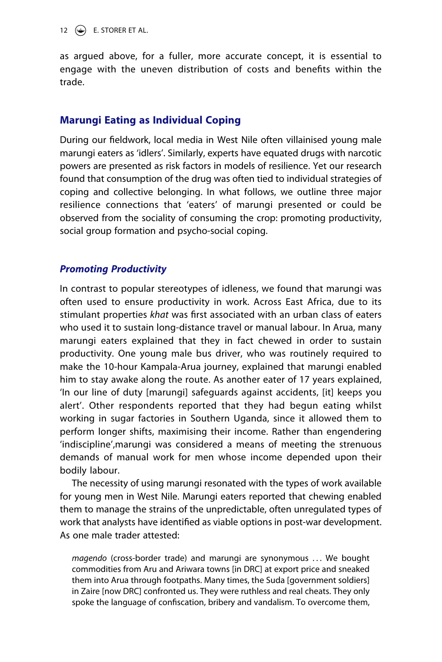12  $\left(\frac{1}{2}\right)$  E. STORER ET AL.

as argued above, for a fuller, more accurate concept, it is essential to engage with the uneven distribution of costs and benefits within the trade.

# **Marungi Eating as Individual Coping**

During our fieldwork, local media in West Nile often villainised young male marungi eaters as 'idlers'. Similarly, experts have equated drugs with narcotic powers are presented as risk factors in models of resilience. Yet our research found that consumption of the drug was often tied to individual strategies of coping and collective belonging. In what follows, we outline three major resilience connections that 'eaters' of marungi presented or could be observed from the sociality of consuming the crop: promoting productivity, social group formation and psycho-social coping.

#### *Promoting Productivity*

In contrast to popular stereotypes of idleness, we found that marungi was often used to ensure productivity in work. Across East Africa, due to its stimulant properties *khat* was first associated with an urban class of eaters who used it to sustain long-distance travel or manual labour. In Arua, many marungi eaters explained that they in fact chewed in order to sustain productivity. One young male bus driver, who was routinely required to make the 10-hour Kampala-Arua journey, explained that marungi enabled him to stay awake along the route. As another eater of 17 years explained, 'In our line of duty [marungi] safeguards against accidents, [it] keeps you alert'. Other respondents reported that they had begun eating whilst working in sugar factories in Southern Uganda, since it allowed them to perform longer shifts, maximising their income. Rather than engendering 'indiscipline',marungi was considered a means of meeting the strenuous demands of manual work for men whose income depended upon their bodily labour.

The necessity of using marungi resonated with the types of work available for young men in West Nile. Marungi eaters reported that chewing enabled them to manage the strains of the unpredictable, often unregulated types of work that analysts have identified as viable options in post-war development. As one male trader attested:

*magendo* (cross-border trade) and marungi are synonymous . . . We bought commodities from Aru and Ariwara towns [in DRC] at export price and sneaked them into Arua through footpaths. Many times, the Suda [government soldiers] in Zaire [now DRC] confronted us. They were ruthless and real cheats. They only spoke the language of confiscation, bribery and vandalism. To overcome them,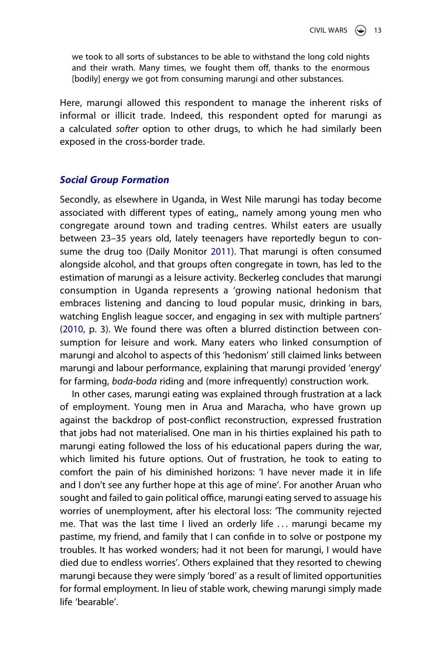we took to all sorts of substances to be able to withstand the long cold nights and their wrath. Many times, we fought them off, thanks to the enormous [bodily] energy we got from consuming marungi and other substances.

Here, marungi allowed this respondent to manage the inherent risks of informal or illicit trade. Indeed, this respondent opted for marungi as a calculated *softer* option to other drugs, to which he had similarly been exposed in the cross-border trade.

## *Social Group Formation*

<span id="page-13-0"></span>Secondly, as elsewhere in Uganda, in West Nile marungi has today become associated with different types of eating,, namely among young men who congregate around town and trading centres. Whilst eaters are usually between 23–35 years old, lately teenagers have reportedly begun to consume the drug too (Daily Monitor [2011\)](#page-23-15). That marungi is often consumed alongside alcohol, and that groups often congregate in town, has led to the estimation of marungi as a leisure activity. Beckerleg concludes that marungi consumption in Uganda represents a 'growing national hedonism that embraces listening and dancing to loud popular music, drinking in bars, watching English league soccer, and engaging in sex with multiple partners' ([2010](#page-23-14), p. 3). We found there was often a blurred distinction between consumption for leisure and work. Many eaters who linked consumption of marungi and alcohol to aspects of this 'hedonism' still claimed links between marungi and labour performance, explaining that marungi provided 'energy' for farming, *boda-boda* riding and (more infrequently) construction work.

In other cases, marungi eating was explained through frustration at a lack of employment. Young men in Arua and Maracha, who have grown up against the backdrop of post-conflict reconstruction, expressed frustration that jobs had not materialised. One man in his thirties explained his path to marungi eating followed the loss of his educational papers during the war, which limited his future options. Out of frustration, he took to eating to comfort the pain of his diminished horizons: 'I have never made it in life and I don't see any further hope at this age of mine'. For another Aruan who sought and failed to gain political office, marungi eating served to assuage his worries of unemployment, after his electoral loss: 'The community rejected me. That was the last time I lived an orderly life . . . marungi became my pastime, my friend, and family that I can confide in to solve or postpone my troubles. It has worked wonders; had it not been for marungi, I would have died due to endless worries'. Others explained that they resorted to chewing marungi because they were simply 'bored' as a result of limited opportunities for formal employment. In lieu of stable work, chewing marungi simply made life 'bearable'.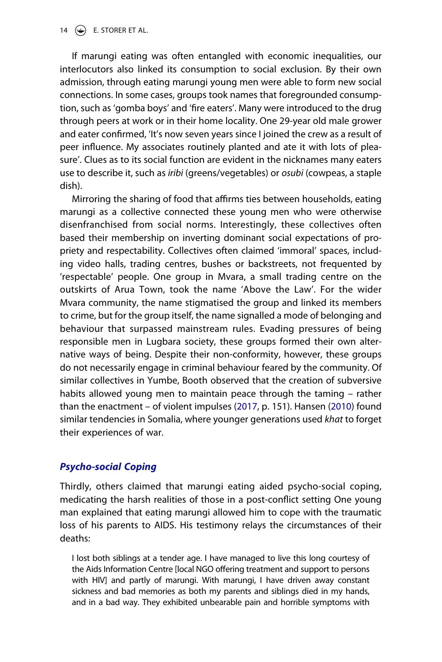14  $\left(\bigoplus$  E. STORER ET AL.

If marungi eating was often entangled with economic inequalities, our interlocutors also linked its consumption to social exclusion. By their own admission, through eating marungi young men were able to form new social connections. In some cases, groups took names that foregrounded consumption, such as 'gomba boys' and 'fire eaters'. Many were introduced to the drug through peers at work or in their home locality. One 29-year old male grower and eater confirmed, 'It's now seven years since I joined the crew as a result of peer influence. My associates routinely planted and ate it with lots of pleasure'. Clues as to its social function are evident in the nicknames many eaters use to describe it, such as *iribi* (greens/vegetables) or *osubi* (cowpeas, a staple dish).

Mirroring the sharing of food that affirms ties between households, eating marungi as a collective connected these young men who were otherwise disenfranchised from social norms. Interestingly, these collectives often based their membership on inverting dominant social expectations of propriety and respectability. Collectives often claimed 'immoral' spaces, including video halls, trading centres, bushes or backstreets, not frequented by 'respectable' people. One group in Mvara, a small trading centre on the outskirts of Arua Town, took the name 'Above the Law'. For the wider Mvara community, the name stigmatised the group and linked its members to crime, but for the group itself, the name signalled a mode of belonging and behaviour that surpassed mainstream rules. Evading pressures of being responsible men in Lugbara society, these groups formed their own alternative ways of being. Despite their non-conformity, however, these groups do not necessarily engage in criminal behaviour feared by the community. Of similar collectives in Yumbe, Booth observed that the creation of subversive habits allowed young men to maintain peace through the taming – rather than the enactment – of violent impulses [\(2017,](#page-23-16) p. 151). Hansen [\(2010\)](#page-24-13) found similar tendencies in Somalia, where younger generations used *khat* to forget their experiences of war.

# <span id="page-14-0"></span>*Psycho-social Coping*

Thirdly, others claimed that marungi eating aided psycho-social coping, medicating the harsh realities of those in a post-conflict setting One young man explained that eating marungi allowed him to cope with the traumatic loss of his parents to AIDS. His testimony relays the circumstances of their deaths:

I lost both siblings at a tender age. I have managed to live this long courtesy of the Aids Information Centre [local NGO offering treatment and support to persons with HIV] and partly of marungi. With marungi, I have driven away constant sickness and bad memories as both my parents and siblings died in my hands, and in a bad way. They exhibited unbearable pain and horrible symptoms with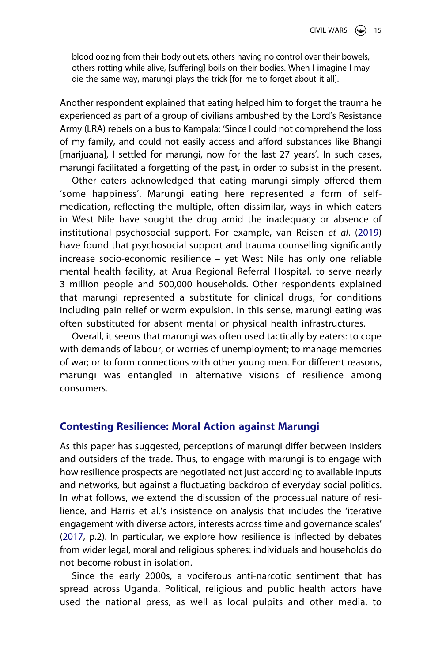blood oozing from their body outlets, others having no control over their bowels, others rotting while alive, [suffering] boils on their bodies. When I imagine I may die the same way, marungi plays the trick [for me to forget about it all].

Another respondent explained that eating helped him to forget the trauma he experienced as part of a group of civilians ambushed by the Lord's Resistance Army (LRA) rebels on a bus to Kampala: 'Since I could not comprehend the loss of my family, and could not easily access and afford substances like Bhangi [marijuana], I settled for marungi, now for the last 27 years'. In such cases, marungi facilitated a forgetting of the past, in order to subsist in the present.

<span id="page-15-0"></span>Other eaters acknowledged that eating marungi simply offered them 'some happiness'. Marungi eating here represented a form of selfmedication, reflecting the multiple, often dissimilar, ways in which eaters in West Nile have sought the drug amid the inadequacy or absence of institutional psychosocial support. For example, van Reisen *et al*. [\(2019](#page-25-10)) have found that psychosocial support and trauma counselling significantly increase socio-economic resilience – yet West Nile has only one reliable mental health facility, at Arua Regional Referral Hospital, to serve nearly 3 million people and 500,000 households. Other respondents explained that marungi represented a substitute for clinical drugs, for conditions including pain relief or worm expulsion. In this sense, marungi eating was often substituted for absent mental or physical health infrastructures.

Overall, it seems that marungi was often used tactically by eaters: to cope with demands of labour, or worries of unemployment; to manage memories of war; or to form connections with other young men. For different reasons, marungi was entangled in alternative visions of resilience among consumers.

#### **Contesting Resilience: Moral Action against Marungi**

As this paper has suggested, perceptions of marungi differ between insiders and outsiders of the trade. Thus, to engage with marungi is to engage with how resilience prospects are negotiated not just according to available inputs and networks, but against a fluctuating backdrop of everyday social politics. In what follows, we extend the discussion of the processual nature of resilience, and Harris et al.'s insistence on analysis that includes the 'iterative engagement with diverse actors, interests across time and governance scales' ([2017](#page-24-2), p.2). In particular, we explore how resilience is inflected by debates from wider legal, moral and religious spheres: individuals and households do not become robust in isolation.

Since the early 2000s, a vociferous anti-narcotic sentiment that has spread across Uganda. Political, religious and public health actors have used the national press, as well as local pulpits and other media, to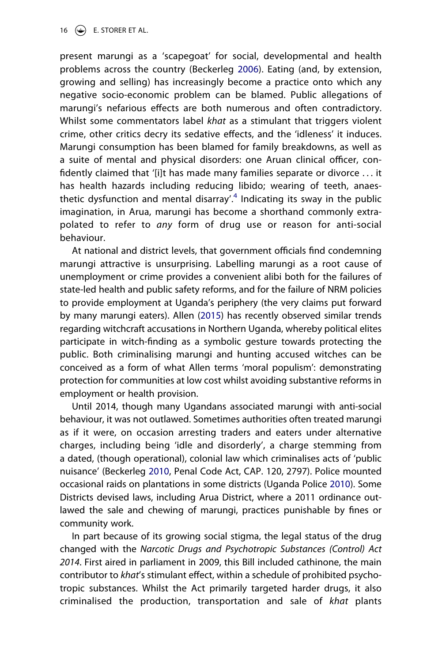16  $\bigodot$  E. STORER ET AL.

present marungi as a 'scapegoat' for social, developmental and health problems across the country (Beckerleg [2006\)](#page-22-2). Eating (and, by extension, growing and selling) has increasingly become a practice onto which any negative socio-economic problem can be blamed. Public allegations of marungi's nefarious effects are both numerous and often contradictory. Whilst some commentators label *khat* as a stimulant that triggers violent crime, other critics decry its sedative effects, and the 'idleness' it induces. Marungi consumption has been blamed for family breakdowns, as well as a suite of mental and physical disorders: one Aruan clinical officer, confidently claimed that '[i]t has made many families separate or divorce . . . it has health hazards including reducing libido; wearing of teeth, anaesthetic dysfunction and mental disarray'.<sup>4</sup> Indicating its sway in the public imagination, in Arua, marungi has become a shorthand commonly extrapolated to refer to *any* form of drug use or reason for anti-social behaviour.

<span id="page-16-0"></span>At national and district levels, that government officials find condemning marungi attractive is unsurprising. Labelling marungi as a root cause of unemployment or crime provides a convenient alibi both for the failures of state-led health and public safety reforms, and for the failure of NRM policies to provide employment at Uganda's periphery (the very claims put forward by many marungi eaters). Allen ([2015](#page-22-3)) has recently observed similar trends regarding witchcraft accusations in Northern Uganda, whereby political elites participate in witch-finding as a symbolic gesture towards protecting the public. Both criminalising marungi and hunting accused witches can be conceived as a form of what Allen terms 'moral populism': demonstrating protection for communities at low cost whilst avoiding substantive reforms in employment or health provision.

Until 2014, though many Ugandans associated marungi with anti-social behaviour, it was not outlawed. Sometimes authorities often treated marungi as if it were, on occasion arresting traders and eaters under alternative charges, including being 'idle and disorderly', a charge stemming from a dated, (though operational), colonial law which criminalises acts of 'public nuisance' (Beckerleg [2010](#page-23-14), Penal Code Act, CAP. 120, 2797). Police mounted occasional raids on plantations in some districts (Uganda Police [2010\)](#page-25-11). Some Districts devised laws, including Arua District, where a 2011 ordinance outlawed the sale and chewing of marungi, practices punishable by fines or community work.

<span id="page-16-1"></span>In part because of its growing social stigma, the legal status of the drug changed with the *Narcotic Drugs and Psychotropic Substances (Control) Act 2014*. First aired in parliament in 2009, this Bill included cathinone, the main contributor to *khat*'s stimulant effect, within a schedule of prohibited psychotropic substances. Whilst the Act primarily targeted harder drugs, it also criminalised the production, transportation and sale of *khat* plants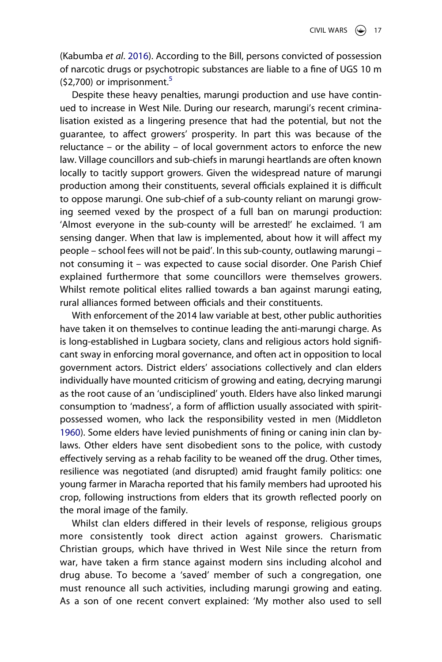<span id="page-17-0"></span>(Kabumba *et al*. [2016\)](#page-24-14). According to the Bill, persons convicted of possession of narcotic drugs or psychotropic substances are liable to a fine of UGS 10 m  $(52,700)$  or imprisonment.<sup>5</sup>

Despite these heavy penalties, marungi production and use have continued to increase in West Nile. During our research, marungi's recent criminalisation existed as a lingering presence that had the potential, but not the guarantee, to affect growers' prosperity. In part this was because of the reluctance – or the ability – of local government actors to enforce the new law. Village councillors and sub-chiefs in marungi heartlands are often known locally to tacitly support growers. Given the widespread nature of marungi production among their constituents, several officials explained it is difficult to oppose marungi. One sub-chief of a sub-county reliant on marungi growing seemed vexed by the prospect of a full ban on marungi production: 'Almost everyone in the sub-county will be arrested!' he exclaimed. 'I am sensing danger. When that law is implemented, about how it will affect my people – school fees will not be paid'. In this sub-county, outlawing marungi – not consuming it – was expected to cause social disorder. One Parish Chief explained furthermore that some councillors were themselves growers. Whilst remote political elites rallied towards a ban against marungi eating, rural alliances formed between officials and their constituents.

<span id="page-17-1"></span>With enforcement of the 2014 law variable at best, other public authorities have taken it on themselves to continue leading the anti-marungi charge. As is long-established in Lugbara society, clans and religious actors hold significant sway in enforcing moral governance, and often act in opposition to local government actors. District elders' associations collectively and clan elders individually have mounted criticism of growing and eating, decrying marungi as the root cause of an 'undisciplined' youth. Elders have also linked marungi consumption to 'madness', a form of affliction usually associated with spiritpossessed women, who lack the responsibility vested in men (Middleton [1960\)](#page-25-12). Some elders have levied punishments of fining or caning inin clan bylaws. Other elders have sent disobedient sons to the police, with custody effectively serving as a rehab facility to be weaned off the drug. Other times, resilience was negotiated (and disrupted) amid fraught family politics: one young farmer in Maracha reported that his family members had uprooted his crop, following instructions from elders that its growth reflected poorly on the moral image of the family.

Whilst clan elders differed in their levels of response, religious groups more consistently took direct action against growers. Charismatic Christian groups, which have thrived in West Nile since the return from war, have taken a firm stance against modern sins including alcohol and drug abuse. To become a 'saved' member of such a congregation, one must renounce all such activities, including marungi growing and eating. As a son of one recent convert explained: 'My mother also used to sell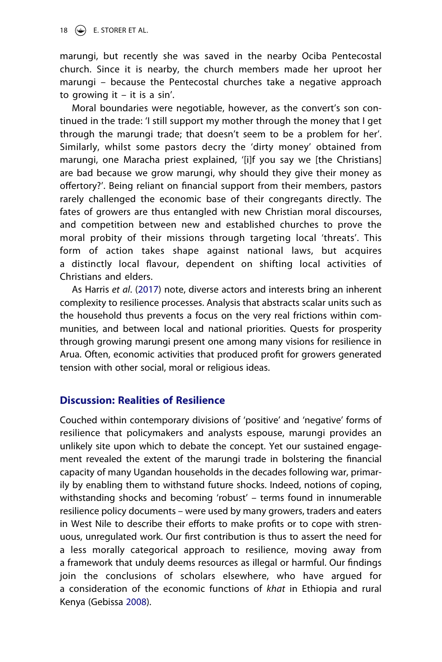marungi, but recently she was saved in the nearby Ociba Pentecostal church. Since it is nearby, the church members made her uproot her marungi – because the Pentecostal churches take a negative approach to growing it  $-$  it is a sin'.

Moral boundaries were negotiable, however, as the convert's son continued in the trade: 'I still support my mother through the money that I get through the marungi trade; that doesn't seem to be a problem for her'. Similarly, whilst some pastors decry the 'dirty money' obtained from marungi, one Maracha priest explained, '[i]f you say we [the Christians] are bad because we grow marungi, why should they give their money as offertory?'. Being reliant on financial support from their members, pastors rarely challenged the economic base of their congregants directly. The fates of growers are thus entangled with new Christian moral discourses, and competition between new and established churches to prove the moral probity of their missions through targeting local 'threats'. This form of action takes shape against national laws, but acquires a distinctly local flavour, dependent on shifting local activities of Christians and elders.

As Harris *et al*. [\(2017\)](#page-24-2) note, diverse actors and interests bring an inherent complexity to resilience processes. Analysis that abstracts scalar units such as the household thus prevents a focus on the very real frictions within communities, and between local and national priorities. Quests for prosperity through growing marungi present one among many visions for resilience in Arua. Often, economic activities that produced profit for growers generated tension with other social, moral or religious ideas.

# **Discussion: Realities of Resilience**

Couched within contemporary divisions of 'positive' and 'negative' forms of resilience that policymakers and analysts espouse, marungi provides an unlikely site upon which to debate the concept. Yet our sustained engagement revealed the extent of the marungi trade in bolstering the financial capacity of many Ugandan households in the decades following war, primarily by enabling them to withstand future shocks. Indeed, notions of coping, withstanding shocks and becoming 'robust' – terms found in innumerable resilience policy documents – were used by many growers, traders and eaters in West Nile to describe their efforts to make profits or to cope with strenuous, unregulated work. Our first contribution is thus to assert the need for a less morally categorical approach to resilience, moving away from a framework that unduly deems resources as illegal or harmful. Our findings join the conclusions of scholars elsewhere, who have argued for a consideration of the economic functions of *khat* in Ethiopia and rural Kenya (Gebissa [2008\)](#page-24-1).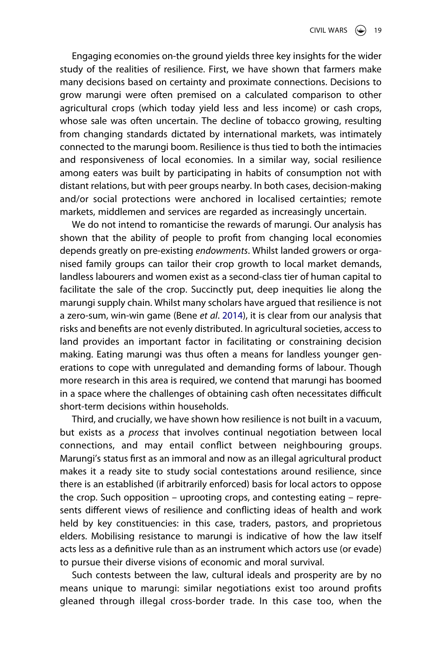Engaging economies on-the ground yields three key insights for the wider study of the realities of resilience. First, we have shown that farmers make many decisions based on certainty and proximate connections. Decisions to grow marungi were often premised on a calculated comparison to other agricultural crops (which today yield less and less income) or cash crops, whose sale was often uncertain. The decline of tobacco growing, resulting from changing standards dictated by international markets, was intimately connected to the marungi boom. Resilience is thus tied to both the intimacies and responsiveness of local economies. In a similar way, social resilience among eaters was built by participating in habits of consumption not with distant relations, but with peer groups nearby. In both cases, decision-making and/or social protections were anchored in localised certainties; remote markets, middlemen and services are regarded as increasingly uncertain.

We do not intend to romanticise the rewards of marungi. Our analysis has shown that the ability of people to profit from changing local economies depends greatly on pre-existing *endowments*. Whilst landed growers or organised family groups can tailor their crop growth to local market demands, landless labourers and women exist as a second-class tier of human capital to facilitate the sale of the crop. Succinctly put, deep inequities lie along the marungi supply chain. Whilst many scholars have argued that resilience is not a zero-sum, win-win game (Bene *et al*. [2014](#page-23-2)), it is clear from our analysis that risks and benefits are not evenly distributed. In agricultural societies, access to land provides an important factor in facilitating or constraining decision making. Eating marungi was thus often a means for landless younger generations to cope with unregulated and demanding forms of labour. Though more research in this area is required, we contend that marungi has boomed in a space where the challenges of obtaining cash often necessitates difficult short-term decisions within households.

Third, and crucially, we have shown how resilience is not built in a vacuum, but exists as a *process* that involves continual negotiation between local connections, and may entail conflict between neighbouring groups. Marungi's status first as an immoral and now as an illegal agricultural product makes it a ready site to study social contestations around resilience, since there is an established (if arbitrarily enforced) basis for local actors to oppose the crop. Such opposition – uprooting crops, and contesting eating – represents different views of resilience and conflicting ideas of health and work held by key constituencies: in this case, traders, pastors, and proprietous elders. Mobilising resistance to marungi is indicative of how the law itself acts less as a definitive rule than as an instrument which actors use (or evade) to pursue their diverse visions of economic and moral survival.

Such contests between the law, cultural ideals and prosperity are by no means unique to marungi: similar negotiations exist too around profits gleaned through illegal cross-border trade. In this case too, when the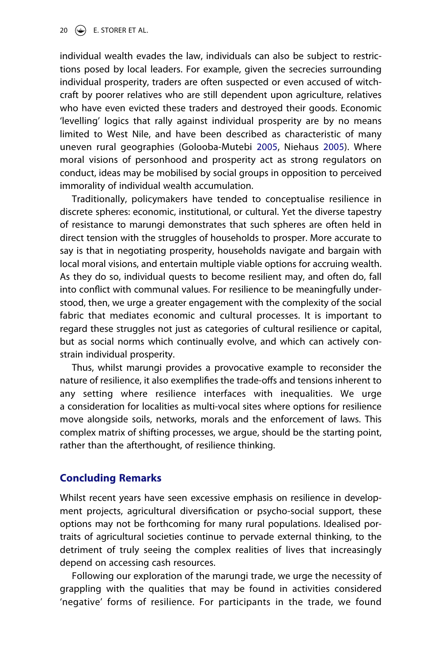individual wealth evades the law, individuals can also be subject to restrictions posed by local leaders. For example, given the secrecies surrounding individual prosperity, traders are often suspected or even accused of witchcraft by poorer relatives who are still dependent upon agriculture, relatives who have even evicted these traders and destroyed their goods. Economic 'levelling' logics that rally against individual prosperity are by no means limited to West Nile, and have been described as characteristic of many uneven rural geographies (Golooba-Mutebi [2005](#page-24-15), Niehaus [2005\)](#page-25-13). Where moral visions of personhood and prosperity act as strong regulators on conduct, ideas may be mobilised by social groups in opposition to perceived immorality of individual wealth accumulation.

<span id="page-20-0"></span>Traditionally, policymakers have tended to conceptualise resilience in discrete spheres: economic, institutional, or cultural. Yet the diverse tapestry of resistance to marungi demonstrates that such spheres are often held in direct tension with the struggles of households to prosper. More accurate to say is that in negotiating prosperity, households navigate and bargain with local moral visions, and entertain multiple viable options for accruing wealth. As they do so, individual quests to become resilient may, and often do, fall into conflict with communal values. For resilience to be meaningfully understood, then, we urge a greater engagement with the complexity of the social fabric that mediates economic and cultural processes. It is important to regard these struggles not just as categories of cultural resilience or capital, but as social norms which continually evolve, and which can actively constrain individual prosperity.

Thus, whilst marungi provides a provocative example to reconsider the nature of resilience, it also exemplifies the trade-offs and tensions inherent to any setting where resilience interfaces with inequalities. We urge a consideration for localities as multi-vocal sites where options for resilience move alongside soils, networks, morals and the enforcement of laws. This complex matrix of shifting processes, we argue, should be the starting point, rather than the afterthought, of resilience thinking.

# **Concluding Remarks**

Whilst recent years have seen excessive emphasis on resilience in development projects, agricultural diversification or psycho-social support, these options may not be forthcoming for many rural populations. Idealised portraits of agricultural societies continue to pervade external thinking, to the detriment of truly seeing the complex realities of lives that increasingly depend on accessing cash resources.

Following our exploration of the marungi trade, we urge the necessity of grappling with the qualities that may be found in activities considered 'negative' forms of resilience. For participants in the trade, we found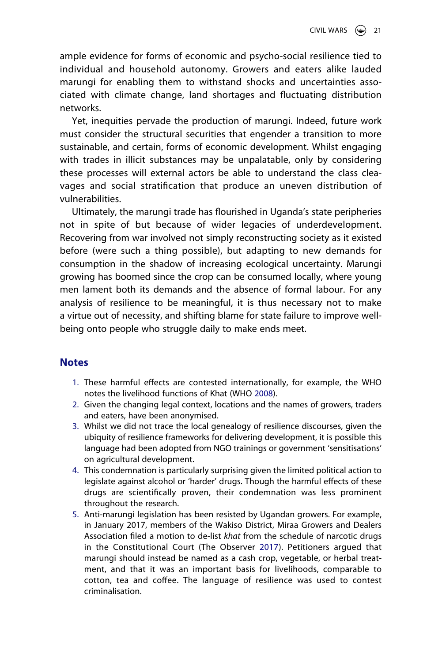ample evidence for forms of economic and psycho-social resilience tied to individual and household autonomy. Growers and eaters alike lauded marungi for enabling them to withstand shocks and uncertainties associated with climate change, land shortages and fluctuating distribution networks.

Yet, inequities pervade the production of marungi. Indeed, future work must consider the structural securities that engender a transition to more sustainable, and certain, forms of economic development. Whilst engaging with trades in illicit substances may be unpalatable, only by considering these processes will external actors be able to understand the class cleavages and social stratification that produce an uneven distribution of vulnerabilities.

Ultimately, the marungi trade has flourished in Uganda's state peripheries not in spite of but because of wider legacies of underdevelopment. Recovering from war involved not simply reconstructing society as it existed before (were such a thing possible), but adapting to new demands for consumption in the shadow of increasing ecological uncertainty. Marungi growing has boomed since the crop can be consumed locally, where young men lament both its demands and the absence of formal labour. For any analysis of resilience to be meaningful, it is thus necessary not to make a virtue out of necessity, and shifting blame for state failure to improve wellbeing onto people who struggle daily to make ends meet.

# **Notes**

- <span id="page-21-6"></span><span id="page-21-0"></span>1. These harmful effects are contested internationally, for example, the WHO notes the livelihood functions of Khat (WHO [2008](#page-26-3)).
- <span id="page-21-1"></span>2. Given the changing legal context, locations and the names of growers, traders and eaters, have been anonymised.
- <span id="page-21-2"></span>3. Whilst we did not trace the local genealogy of resilience discourses, given the ubiquity of resilience frameworks for delivering development, it is possible this language had been adopted from NGO trainings or government 'sensitisations' on agricultural development.
- <span id="page-21-3"></span>4. This condemnation is particularly surprising given the limited political action to legislate against alcohol or 'harder' drugs. Though the harmful effects of these drugs are scientifically proven, their condemnation was less prominent throughout the research.
- <span id="page-21-5"></span><span id="page-21-4"></span>5. Anti-marungi legislation has been resisted by Ugandan growers. For example, in January 2017, members of the Wakiso District, Miraa Growers and Dealers Association filed a motion to de-list *khat* from the schedule of narcotic drugs in the Constitutional Court (The Observer [2017](#page-25-14)). Petitioners argued that marungi should instead be named as a cash crop, vegetable, or herbal treatment, and that it was an important basis for livelihoods, comparable to cotton, tea and coffee. The language of resilience was used to contest criminalisation.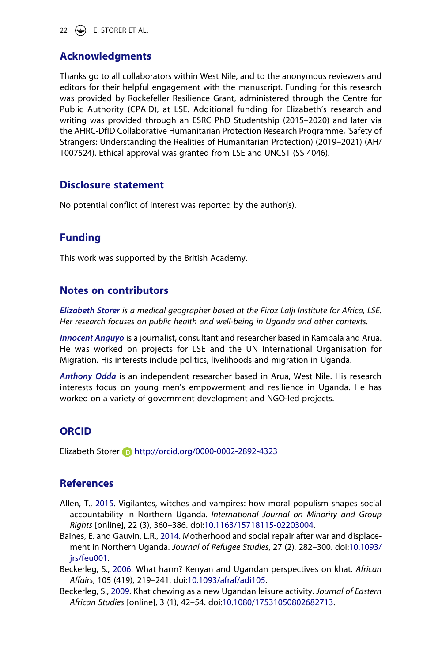22  $\left(\bigcirc\right)$  E. STORER ET AL.

# **Acknowledgments**

Thanks go to all collaborators within West Nile, and to the anonymous reviewers and editors for their helpful engagement with the manuscript. Funding for this research was provided by Rockefeller Resilience Grant, administered through the Centre for Public Authority (CPAID), at LSE. Additional funding for Elizabeth's research and writing was provided through an ESRC PhD Studentship (2015–2020) and later via the AHRC-DfID Collaborative Humanitarian Protection Research Programme, 'Safety of Strangers: Understanding the Realities of Humanitarian Protection) (2019–2021) (AH/ T007524). Ethical approval was granted from LSE and UNCST (SS 4046).

## **Disclosure statement**

No potential conflict of interest was reported by the author(s).

# **Funding**

This work was supported by the British Academy.

# **Notes on contributors**

*Elizabeth Storer is a medical geographer based at the Firoz Lalji Institute for Africa, LSE. Her research focuses on public health and well-being in Uganda and other contexts.*

*Innocent Anguyo* is a journalist, consultant and researcher based in Kampala and Arua. He was worked on projects for LSE and the UN International Organisation for Migration. His interests include politics, livelihoods and migration in Uganda.

*Anthony Odda* is an independent researcher based in Arua, West Nile. His research interests focus on young men's empowerment and resilience in Uganda. He has worked on a variety of government development and NGO-led projects.

# **ORCID**

Elizabeth Storer **b** http://orcid.org/0000-0002-2892-4323

# **References**

- <span id="page-22-3"></span>Allen, T., [2015.](#page-16-0) Vigilantes, witches and vampires: how moral populism shapes social accountability in Northern Uganda. *International Journal on Minority and Group Rights* [online], 22 (3), 360–386. doi:[10.1163/15718115-02203004.](https://doi.org/10.1163/15718115-02203004)
- <span id="page-22-1"></span>Baines, E. and Gauvin, L.R., [2014](#page-4-0). Motherhood and social repair after war and displacement in Northern Uganda. *Journal of Refugee Studies*, 27 (2), 282–300. doi:[10.1093/](https://doi.org/10.1093/jrs/feu001) [jrs/feu001.](https://doi.org/10.1093/jrs/feu001)
- <span id="page-22-2"></span>Beckerleg, S., [2006](#page-9-0). What harm? Kenyan and Ugandan perspectives on khat. *African Affairs*, 105 (419), 219–241. doi:[10.1093/afraf/adi105.](https://doi.org/10.1093/afraf/adi105)
- <span id="page-22-0"></span>Beckerleg, S., [2009.](#page-2-0) Khat chewing as a new Ugandan leisure activity. *Journal of Eastern African Studies* [online], 3 (1), 42–54. doi:[10.1080/17531050802682713.](https://doi.org/10.1080/17531050802682713)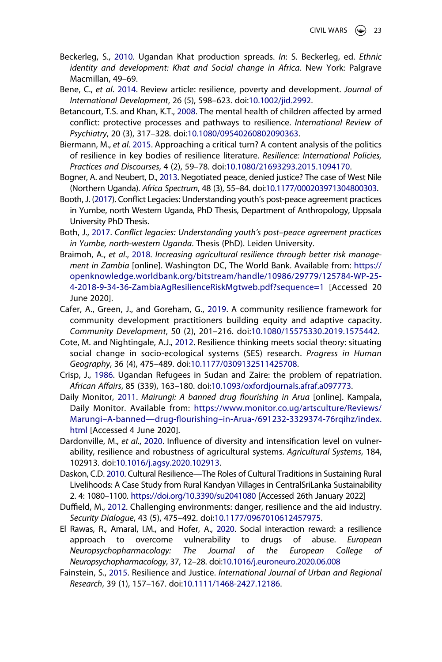- <span id="page-23-14"></span>Beckerleg, S., [2010.](#page-8-0) Ugandan Khat production spreads. *In*: S. Beckerleg, ed. *Ethnic identity and development: Khat and Social change in Africa*. New York: Palgrave Macmillan, 49–69.
- <span id="page-23-2"></span>Bene, C., *et al*. [2014](#page-2-1). Review article: resilience, poverty and development. *Journal of International Development*, 26 (5), 598–623. doi:[10.1002/jid.2992.](https://doi.org/10.1002/jid.2992)
- <span id="page-23-7"></span>Betancourt, T.S. and Khan, K.T., [2008.](#page-4-1) The mental health of children affected by armed conflict: protective processes and pathways to resilience. *International Review of Psychiatry*, 20 (3), 317–328. doi:[10.1080/09540260802090363.](https://doi.org/10.1080/09540260802090363)
- <span id="page-23-3"></span>Biermann, M., *et al*. [2015](#page-3-0). Approaching a critical turn? A content analysis of the politics of resilience in key bodies of resilience literature. *Resilience: International Policies, Practices and Discourses*, 4 (2), 59–78. doi:[10.1080/21693293.2015.1094170.](https://doi.org/10.1080/21693293.2015.1094170)
- <span id="page-23-12"></span>Bogner, A. and Neubert, D., [2013.](#page-6-0) Negotiated peace, denied justice? The case of West Nile (Northern Uganda). *Africa Spectrum*, 48 (3), 55–84. doi:[10.1177/000203971304800303](https://doi.org/10.1177/000203971304800303).
- <span id="page-23-16"></span>Booth, J. ([2017](#page-14-0)). Conflict Legacies: Understanding youth's post-peace agreement practices in Yumbe, north Western Uganda, PhD Thesis, Department of Anthropology, Uppsala University PhD Thesis.
- <span id="page-23-1"></span>Both, J., [2017](#page-2-0). *Conflict legacies: Understanding youth's post–peace agreement practices in Yumbe, north-western Uganda*. Thesis (PhD). Leiden University.
- <span id="page-23-4"></span>Braimoh, A., *et al*., [2018.](#page-3-1) *Increasing agricultural resilience through better risk management in Zambia* [online]. Washington DC, The World Bank. Available from: [https://](https://openknowledge.worldbank.org/bitstream/handle/10986/29779/125784-WP-25-4-2018-9-34-36-ZambiaAgResilienceRiskMgtweb.pdf?sequence=1) [openknowledge.worldbank.org/bitstream/handle/10986/29779/125784-WP-25-](https://openknowledge.worldbank.org/bitstream/handle/10986/29779/125784-WP-25-4-2018-9-34-36-ZambiaAgResilienceRiskMgtweb.pdf?sequence=1) [4-2018-9-34-36-ZambiaAgResilienceRiskMgtweb.pdf?sequence=1](https://openknowledge.worldbank.org/bitstream/handle/10986/29779/125784-WP-25-4-2018-9-34-36-ZambiaAgResilienceRiskMgtweb.pdf?sequence=1) [Accessed 20 June 2020].
- <span id="page-23-10"></span>Cafer, A., Green, J., and Goreham, G., [2019.](#page-5-0) A community resilience framework for community development practitioners building equity and adaptive capacity. *Community Development*, 50 (2), 201–216. doi:[10.1080/15575330.2019.1575442](https://doi.org/10.1080/15575330.2019.1575442).
- <span id="page-23-8"></span>Cote, M. and Nightingale, A.J., [2012.](#page-4-2) Resilience thinking meets social theory: situating social change in socio-ecological systems (SES) research. *Progress in Human Geography*, 36 (4), 475–489. doi:[10.1177/0309132511425708.](https://doi.org/10.1177/0309132511425708)
- <span id="page-23-11"></span>Crisp, J., [1986](#page-6-1). Ugandan Refugees in Sudan and Zaire: the problem of repatriation. *African Affairs*, 85 (339), 163–180. doi:[10.1093/oxfordjournals.afraf.a097773.](https://doi.org/10.1093/oxfordjournals.afraf.a097773)
- <span id="page-23-15"></span>Daily Monitor, [2011](#page-13-0). *Mairungi: A banned drug flourishing in Arua* [online]. Kampala, Daily Monitor. Available from: [https://www.monitor.co.ug/artsculture/Reviews/](https://www.monitor.co.ug/artsculture/Reviews/Marungi%26#x2013;A-banned%26#x2014;drug-flourishing%26#x2013;in-Arua-/691232-3329374-76rqihz/index.html) [Marungi–A-banned—drug-flourishing–in-Arua-/691232-3329374-76rqihz/index.](https://www.monitor.co.ug/artsculture/Reviews/Marungi%26#x2013;A-banned%26#x2014;drug-flourishing%26#x2013;in-Arua-/691232-3329374-76rqihz/index.html) [html](https://www.monitor.co.ug/artsculture/Reviews/Marungi%26#x2013;A-banned%26#x2014;drug-flourishing%26#x2013;in-Arua-/691232-3329374-76rqihz/index.html) [Accessed 4 June 2020].
- <span id="page-23-5"></span>Dardonville, M., *et al*., [2020.](#page-3-1) Influence of diversity and intensification level on vulnerability, resilience and robustness of agricultural systems. *Agricultural Systems*, 184, 102913. doi:[10.1016/j.agsy.2020.102913.](https://doi.org/10.1016/j.agsy.2020.102913)
- <span id="page-23-6"></span>Daskon, C.D. [2010](#page-4-3). Cultural Resilience—The Roles of Cultural Traditions in Sustaining Rural Livelihoods: A Case Study from Rural Kandyan Villages in CentralSriLanka Sustainability 2. 4: 1080–1100. <https://doi.org/10.3390/su2041080> [Accessed 26th January 2022]
- <span id="page-23-9"></span>Duffield, M., [2012](#page-4-4). Challenging environments: danger, resilience and the aid industry. *Security Dialogue*, 43 (5), 475–492. doi:[10.1177/0967010612457975](https://doi.org/10.1177/0967010612457975).
- <span id="page-23-0"></span>El Rawas, R., Amaral, I.M., and Hofer, A., [2020.](#page-2-2) Social interaction reward: a resilience approach to overcome vulnerability to drugs of abuse. *European Neuropsychopharmacology: The Journal of the European College of Neuropsychopharmacology*, 37, 12–28. doi:[10.1016/j.euroneuro.2020.06.008](https://doi.org/10.1016/j.euroneuro.2020.06.008)
- <span id="page-23-13"></span>Fainstein, S., [2015.](#page-8-1) Resilience and Justice. *International Journal of Urban and Regional Research*, 39 (1), 157–167. doi:[10.1111/1468-2427.12186.](https://doi.org/10.1111/1468-2427.12186)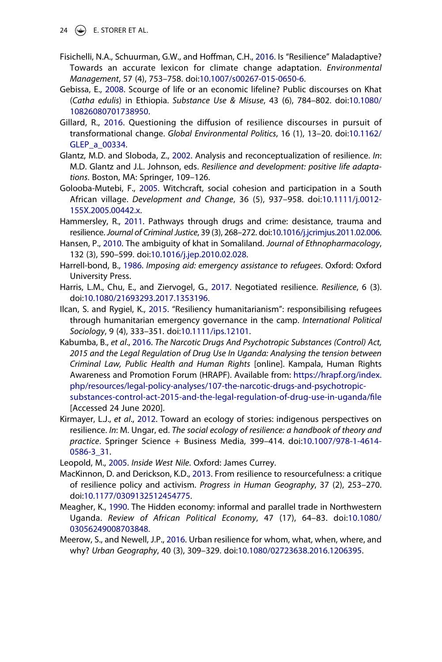- 24  $\left(\bigcirc\right)$  E. STORER ET AL.
- <span id="page-24-7"></span>Fisichelli, N.A., Schuurman, G.W., and Hoffman, C.H., [2016](#page-4-5). Is "Resilience" Maladaptive? Towards an accurate lexicon for climate change adaptation. *Environmental Management*, 57 (4), 753–758. doi:[10.1007/s00267-015-0650-6](https://doi.org/10.1007/s00267-015-0650-6).
- <span id="page-24-1"></span>Gebissa, E., [2008.](#page-2-3) Scourge of life or an economic lifeline? Public discourses on Khat (*Catha edulis*) in Ethiopia. *Substance Use & Misuse*, 43 (6), 784–802. doi:[10.1080/](https://doi.org/10.1080/10826080701738950) [10826080701738950](https://doi.org/10.1080/10826080701738950).
- <span id="page-24-8"></span>Gillard, R., [2016](#page-4-5). Questioning the diffusion of resilience discourses in pursuit of transformational change. *Global Environmental Politics*, 16 (1), 13–20. doi:[10.1162/](https://doi.org/10.1162/GLEP_a_00334) [GLEP\\_a\\_00334.](https://doi.org/10.1162/GLEP_a_00334)
- <span id="page-24-6"></span>Glantz, M.D. and Sloboda, Z., [2002.](#page-4-6) Analysis and reconceptualization of resilience. *In*: M.D. Glantz and J.L. Johnson, eds. *Resilience and development: positive life adaptations*. Boston, MA: Springer, 109–126.
- <span id="page-24-15"></span>Golooba-Mutebi, F., [2005.](#page-20-0) Witchcraft, social cohesion and participation in a South African village. *Development and Change*, 36 (5), 937–958. doi:[10.1111/j.0012-](https://doi.org/10.1111/j.0012-155X.2005.00442.x) [155X.2005.00442.x](https://doi.org/10.1111/j.0012-155X.2005.00442.x).
- <span id="page-24-0"></span>Hammersley, R., [2011.](#page-2-2) Pathways through drugs and crime: desistance, trauma and resilience. *Journal of Criminal Justice*, 39 (3), 268–272. doi:[10.1016/j.jcrimjus.2011.02.006](https://doi.org/10.1016/j.jcrimjus.2011.02.006).
- <span id="page-24-13"></span>Hansen, P., [2010.](#page-14-0) The ambiguity of khat in Somaliland. *Journal of Ethnopharmacology*, 132 (3), 590–599. doi:[10.1016/j.jep.2010.02.028.](https://doi.org/10.1016/j.jep.2010.02.028)
- <span id="page-24-10"></span>Harrell-bond, B., [1986.](#page-6-2) *Imposing aid: emergency assistance to refugees*. Oxford: Oxford University Press.
- <span id="page-24-2"></span>Harris, L.M., Chu, E., and Ziervogel, G., [2017](#page-2-4). Negotiated resilience. *Resilience*, 6 (3). doi:[10.1080/21693293.2017.1353196](https://doi.org/10.1080/21693293.2017.1353196).
- <span id="page-24-9"></span>Ilcan, S. and Rygiel, K., [2015](#page-4-4). "Resiliency humanitarianism": responsibilising refugees through humanitarian emergency governance in the camp. *International Political Sociology*, 9 (4), 333–351. doi:[10.1111/ips.12101.](https://doi.org/10.1111/ips.12101)
- <span id="page-24-14"></span>Kabumba, B., *et al*., [2016](#page-17-0). *The Narcotic Drugs And Psychotropic Substances (Control) Act, 2015 and the Legal Regulation of Drug Use In Uganda: Analysing the tension between Criminal Law, Public Health and Human Rights* [online]. Kampala, Human Rights Awareness and Promotion Forum (HRAPF). Available from: [https://hrapf.org/index.](https://hrapf.org/index.php/resources/legal-policy-analyses/107-the-narcotic-drugs-and-psychotropic-substances-control-act-2015-and-the-legal-regulation-of-drug-use-in-uganda/file) [php/resources/legal-policy-analyses/107-the-narcotic-drugs-and-psychotropic](https://hrapf.org/index.php/resources/legal-policy-analyses/107-the-narcotic-drugs-and-psychotropic-substances-control-act-2015-and-the-legal-regulation-of-drug-use-in-uganda/file)[substances-control-act-2015-and-the-legal-regulation-of-drug-use-in-uganda/file](https://hrapf.org/index.php/resources/legal-policy-analyses/107-the-narcotic-drugs-and-psychotropic-substances-control-act-2015-and-the-legal-regulation-of-drug-use-in-uganda/file) [Accessed 24 June 2020].
- <span id="page-24-5"></span>Kirmayer, L.J., *et al*., [2012.](#page-3-2) Toward an ecology of stories: indigenous perspectives on resilience. *In*: M. Ungar, ed. *The social ecology of resilience: a handbook of theory and practice*. Springer Science + Business Media, 399–414. doi:[10.1007/978-1-4614-](https://doi.org/10.1007/978-1-4614-0586-3_31) [0586-3\\_31.](https://doi.org/10.1007/978-1-4614-0586-3_31)

<span id="page-24-11"></span>Leopold, M., [2005](#page-6-3). *Inside West Nile*. Oxford: James Currey.

- <span id="page-24-4"></span>MacKinnon, D. and Derickson, K.D., [2013](#page-3-3). From resilience to resourcefulness: a critique of resilience policy and activism. *Progress in Human Geography*, 37 (2), 253–270. doi:[10.1177/0309132512454775](https://doi.org/10.1177/0309132512454775).
- <span id="page-24-12"></span>Meagher, K., [1990](#page-6-4). The Hidden economy: informal and parallel trade in Northwestern Uganda. *Review of African Political Economy*, 47 (17), 64–83. doi:[10.1080/](https://doi.org/10.1080/03056249008703848) [03056249008703848](https://doi.org/10.1080/03056249008703848).
- <span id="page-24-3"></span>Meerow, S., and Newell, J.P., [2016](#page-3-4). Urban resilience for whom, what, when, where, and why? *Urban Geography*, 40 (3), 309–329. doi:[10.1080/02723638.2016.1206395](https://doi.org/10.1080/02723638.2016.1206395).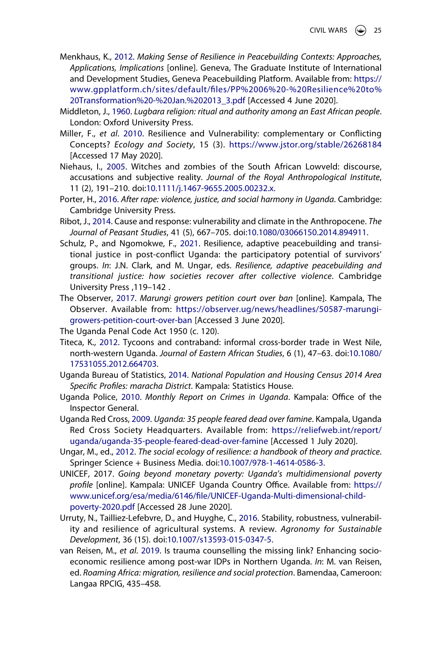- <span id="page-25-0"></span>Menkhaus, K., [2012.](#page-3-0) *Making Sense of Resilience in Peacebuilding Contexts: Approaches, Applications, Implications* [online]. Geneva, The Graduate Institute of International and Development Studies, Geneva Peacebuilding Platform. Available from: [https://](https://www.gpplatform.ch/sites/default/files/PP%2006%20-%20Resilience%20to%20Transformation%20-%20Jan.%202013_3.pdf) [www.gpplatform.ch/sites/default/files/PP%2006%20-%20Resilience%20to%](https://www.gpplatform.ch/sites/default/files/PP%2006%20-%20Resilience%20to%20Transformation%20-%20Jan.%202013_3.pdf)  [20Transformation%20-%20Jan.%202013\\_3.pdf](https://www.gpplatform.ch/sites/default/files/PP%2006%20-%20Resilience%20to%20Transformation%20-%20Jan.%202013_3.pdf) [Accessed 4 June 2020].
- <span id="page-25-12"></span>Middleton, J., [1960.](#page-17-1) *Lugbara religion: ritual and authority among an East African people*. London: Oxford University Press.
- <span id="page-25-8"></span>Miller, F., *et al*. [2010](#page-8-1). Resilience and Vulnerability: complementary or Conflicting Concepts? *Ecology and Society*, 15 (3). <https://www.jstor.org/stable/26268184> [Accessed 17 May 2020].
- <span id="page-25-13"></span>Niehaus, I., [2005](#page-20-0). Witches and zombies of the South African Lowveld: discourse, accusations and subjective reality. *Journal of the Royal Anthropological Institute*, 11 (2), 191–210. doi:[10.1111/j.1467-9655.2005.00232.x](https://doi.org/10.1111/j.1467-9655.2005.00232.x).
- <span id="page-25-4"></span>Porter, H., [2016](#page-4-0). *After rape: violence, justice, and social harmony in Uganda*. Cambridge: Cambridge University Press.
- <span id="page-25-9"></span>Ribot, J., [2014](#page-8-1). Cause and response: vulnerability and climate in the Anthropocene. *The Journal of Peasant Studies*, 41 (5), 667–705. doi:[10.1080/03066150.2014.894911](https://doi.org/10.1080/03066150.2014.894911).
- <span id="page-25-3"></span>Schulz, P., and Ngomokwe, F., [2021.](#page-4-7) Resilience, adaptive peacebuilding and transitional justice in post-conflict Uganda: the participatory potential of survivors' groups. *In*: J.N. Clark, and M. Ungar, eds. *Resilience, adaptive peacebuilding and transitional justice: how societies recover after collective violence*. Cambridge University Press ,119–142 .
- <span id="page-25-14"></span>The Observer, [2017.](#page-21-5) *Marungi growers petition court over ban* [online]. Kampala, The Observer. Available from: [https://observer.ug/news/headlines/50587-marungi](https://observer.ug/news/headlines/50587-marungi-growers-petition-court-over-ban)[growers-petition-court-over-ban](https://observer.ug/news/headlines/50587-marungi-growers-petition-court-over-ban) [Accessed 3 June 2020].
- The Uganda Penal Code Act 1950 (c. 120).
- <span id="page-25-5"></span>Titeca, K., [2012](#page-6-5). Tycoons and contraband: informal cross-border trade in West Nile, north-western Uganda. *Journal of Eastern African Studies*, 6 (1), 47–63. doi:[10.1080/](https://doi.org/10.1080/17531055.2012.664703) [17531055.2012.664703.](https://doi.org/10.1080/17531055.2012.664703)
- <span id="page-25-6"></span>Uganda Bureau of Statistics, [2014](#page-6-6). *National Population and Housing Census 2014 Area Specific Profiles: maracha District*. Kampala: Statistics House.
- <span id="page-25-11"></span>Uganda Police, [2010.](#page-16-1) *Monthly Report on Crimes in Uganda*. Kampala: Office of the Inspector General.
- <span id="page-25-7"></span>Uganda Red Cross, [2009](#page-7-0). *Uganda: 35 people feared dead over famine*. Kampala, Uganda Red Cross Society Headquarters. Available from: [https://reliefweb.int/report/](https://reliefweb.int/report/uganda/uganda-35-people-feared-dead-over-famine) [uganda/uganda-35-people-feared-dead-over-famine](https://reliefweb.int/report/uganda/uganda-35-people-feared-dead-over-famine) [Accessed 1 July 2020].
- <span id="page-25-2"></span>Ungar, M., ed., [2012](#page-3-2). *The social ecology of resilience: a handbook of theory and practice*. Springer Science + Business Media. doi:[10.1007/978-1-4614-0586-3.](https://doi.org/10.1007/978-1-4614-0586-3)
- UNICEF, 2017. *Going beyond monetary poverty: Uganda's multidimensional poverty profile* [online]. Kampala: UNICEF Uganda Country Office. Available from: [https://](https://www.unicef.org/esa/media/6146/file/UNICEF-Uganda-Multi-dimensional-child-poverty-2020.pdf) [www.unicef.org/esa/media/6146/file/UNICEF-Uganda-Multi-dimensional-child](https://www.unicef.org/esa/media/6146/file/UNICEF-Uganda-Multi-dimensional-child-poverty-2020.pdf)[poverty-2020.pdf](https://www.unicef.org/esa/media/6146/file/UNICEF-Uganda-Multi-dimensional-child-poverty-2020.pdf) [Accessed 28 June 2020].
- <span id="page-25-1"></span>Urruty, N., Tailliez-Lefebvre, D., and Huyghe, C., [2016.](#page-3-1) Stability, robustness, vulnerability and resilience of agricultural systems. A review. *Agronomy for Sustainable Development*, 36 (15). doi:[10.1007/s13593-015-0347-5.](https://doi.org/10.1007/s13593-015-0347-5)
- <span id="page-25-10"></span>van Reisen, M., *et al*. [2019.](#page-15-0) Is trauma counselling the missing link? Enhancing socioeconomic resilience among post-war IDPs in Northern Uganda. *In*: M. van Reisen, ed. *Roaming Africa: migration, resilience and social protection*. Bamendaa, Cameroon: Langaa RPCIG, 435–458.